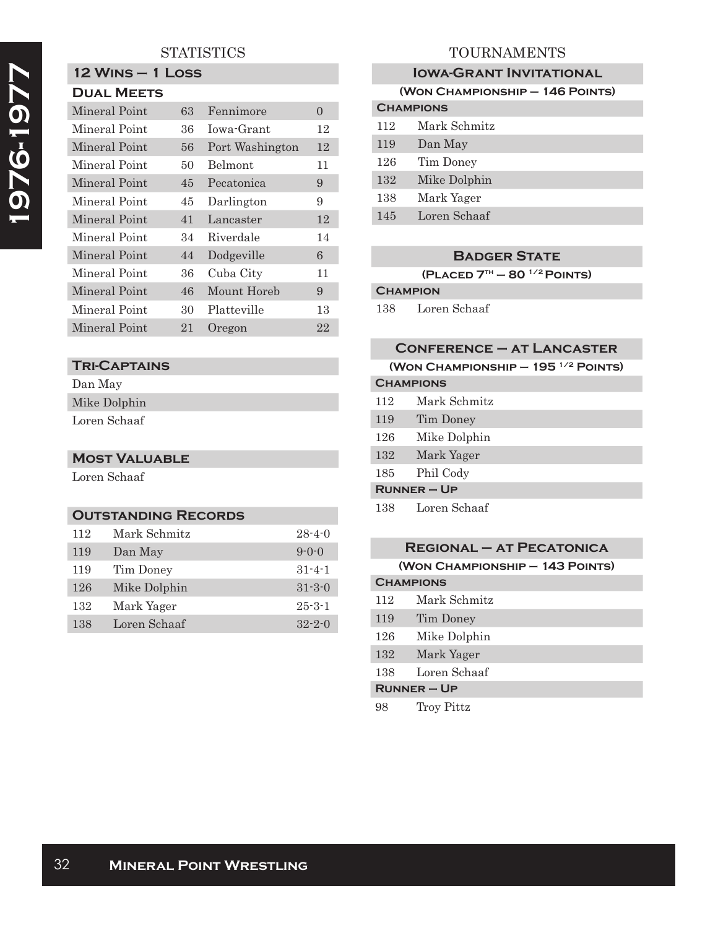# **STATISTICS**

# **12 Wins – 1 Loss**

| <b>DUAL MEETS</b> |    |                 |          |  |
|-------------------|----|-----------------|----------|--|
| Mineral Point     | 63 | Fennimore       | $\Omega$ |  |
| Mineral Point     | 36 | Iowa-Grant      | 12       |  |
| Mineral Point     | 56 | Port Washington | 12       |  |
| Mineral Point     | 50 | <b>Belmont</b>  | 11       |  |
| Mineral Point     | 45 | Pecatonica      | 9        |  |
| Mineral Point     | 45 | Darlington      | 9        |  |
| Mineral Point     | 41 | Lancaster       | 12       |  |
| Mineral Point     | 34 | Riverdale       | 14       |  |
| Mineral Point     | 44 | Dodgeville      | 6        |  |
| Mineral Point     | 36 | Cuba City       | 11       |  |
| Mineral Point     | 46 | Mount Horeb     | 9        |  |
| Mineral Point     | 30 | Platteville     | 13       |  |
| Mineral Point     | 21 | Oregon          | 22       |  |

# **Tri-Captains**

Dan May Mike Dolphin

Loren Schaaf

### **Most Valuable**

Loren Schaaf

### **OUTSTANDING RECORDS**

| 112 | Mark Schmitz | $28 - 4 - 0$ |
|-----|--------------|--------------|
| 119 | Dan May      | $9 - 0 - 0$  |
| 119 | Tim Doney    | $31 - 4 - 1$ |
| 126 | Mike Dolphin | $31 - 3 - 0$ |
| 132 | Mark Yager   | $25 - 3 - 1$ |
| 138 | Loren Schaaf | $32 - 2 - 0$ |

# TOURNAMENTS

| <b>IOWA-GRANT INVITATIONAL</b>  |              |  |  |  |
|---------------------------------|--------------|--|--|--|
| (WON CHAMPIONSHIP - 146 POINTS) |              |  |  |  |
| <b>CHAMPIONS</b>                |              |  |  |  |
| 112                             | Mark Schmitz |  |  |  |
| 119                             | Dan May      |  |  |  |
| 126                             | Tim Doney    |  |  |  |
| 132                             | Mike Dolphin |  |  |  |
| 138                             | Mark Yager   |  |  |  |
| 145                             | Loren Schaaf |  |  |  |
|                                 |              |  |  |  |

#### **Badger State**

**(Placed 7th – 80 1/2 Points)**

# **Champion**

138 Loren Schaaf

### **Conference – at Lancaster**

| (WON CHAMPIONSHIP $-195$ <sup>1/2</sup> POINTS) |              |  |
|-------------------------------------------------|--------------|--|
| <b>CHAMPIONS</b>                                |              |  |
| 112                                             | Mark Schmitz |  |
| 119                                             | Tim Doney    |  |
| 126                                             | Mike Dolphin |  |
| 132                                             | Mark Yager   |  |
| 185                                             | Phil Cody    |  |
| $R$ UNNER – UP                                  |              |  |
| 138                                             | Loren Schaaf |  |

| <b>REGIONAL - AT PECATONICA</b> |              |  |  |  |
|---------------------------------|--------------|--|--|--|
| (WON CHAMPIONSHIP - 143 POINTS) |              |  |  |  |
| <b>CHAMPIONS</b>                |              |  |  |  |
| 112                             | Mark Schmitz |  |  |  |
| 119                             | Tim Doney    |  |  |  |
| 126                             | Mike Dolphin |  |  |  |
| 132                             | Mark Yager   |  |  |  |
| 138                             | Loren Schaaf |  |  |  |
| $R$ UNNER – UP                  |              |  |  |  |
| 98                              | Troy Pittz   |  |  |  |